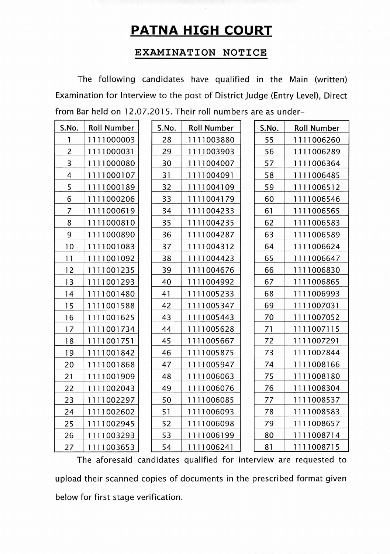## **PATNA HIGH COURT**

## **EXAMINATION NOTICE**

The following candidates have qualified in the Main (written) Examination for Interview to the post of District Judge (Entry Level), Direct from Bar held on 12.07.2015. Their roll numbers are as under-

| S.No.          | <b>Roll Number</b> | S.No. | <b>Roll Number</b> | S.No. | <b>Roll Number</b> |
|----------------|--------------------|-------|--------------------|-------|--------------------|
| 1              | 1111000003         | 28    | 1111003880         | 55    | 1111006260         |
| $\overline{c}$ | 1111000031         | 29    | 1111003903         | 56    | 1111006289         |
| 3              | 1111000080         | 30    | 1111004007         | 57    | 1111006364         |
| 4              | 1111000107         | 31    | 1111004091         | 58    | 1111006485         |
| 5              | 1111000189         | 32    | 1111004109         | 59    | 1111006512         |
| 6              | 1111000206         | 33    | 1111004179         | 60    | 1111006546         |
| 7              | 1111000619         | 34    | 1111004233         | 61    | 1111006565         |
| 8              | 1111000810         | 35    | 1111004235         | 62    | 1111006583         |
| 9              | 1111000890         | 36    | 1111004287         | 63    | 1111006589         |
| 10             | 1111001083         | 37    | 1111004312         | 64    | 1111006624         |
| 11             | 1111001092         | 38    | 1111004423         | 65    | 1111006647         |
| 12             | 1111001235         | 39    | 1111004676         | 66    | 1111006830         |
| 13             | 1111001293         | 40    | 1111004992         | 67    | 1111006865         |
| 14             | 1111001480         | 41    | 1111005233         | 68    | 1111006993         |
| 15             | 1111001588         | 42    | 1111005347         | 69    | 1111007031         |
| 16             | 1111001625         | 43    | 1111005443         | 70    | 1111007052         |
| 17             | 1111001734         | 44    | 1111005628         | 71    | 1111007115         |
| 18             | 1111001751         | 45    | 1111005667         | 72    | 1111007291         |
| 19             | 1111001842         | 46    | 1111005875         | 73    | 1111007844         |
| 20             | 1111001868         | 47    | 1111005947         | 74    | 1111008166         |
| 21             | 1111001909         | 48    | 1111006063         | 75    | 1111008180         |
| 22             | 1111002043         | 49    | 1111006076         | 76    | 1111008304         |
| 23             | 1111002297         | 50    | 1111006085         | 77    | 1111008537         |
| 24             | 1111002602         | 51    | 1111006093         | 78    | 1111008583         |
| 25             | 1111002945         | 52    | 1111006098         | 79    | 1111008657         |
| 26             | 1111003293         | 53    | 1111006199         | 80    | 1111008714         |
| 27             | 1111003653         | 54    | 1111006241         | 81    | 1111008715         |

The aforesaid candidates qualified for interview are requested to upload their scanned copies of documents in the prescribed format given below for first stage verification.